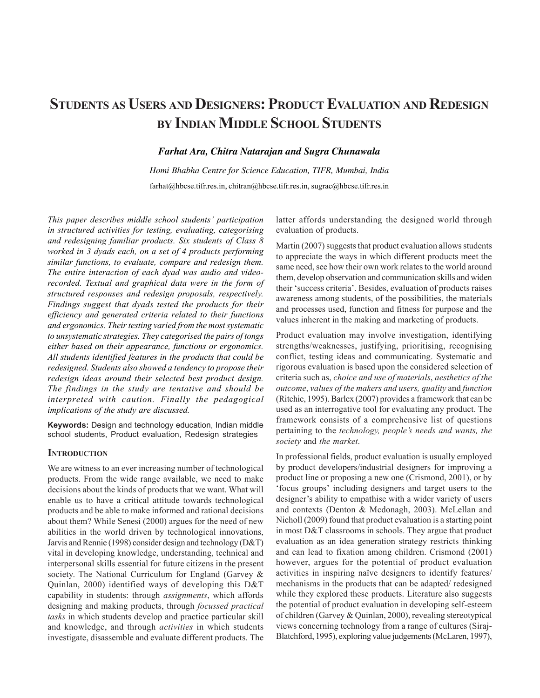# **STUDENTS AS USERS AND DESIGNERS: PRODUCT EVALUATION AND REDESIGN BY INDIAN MIDDLE SCHOOL STUDENTS**

# *Farhat Ara, Chitra Natarajan and Sugra Chunawala*

*Homi Bhabha Centre for Science Education, TIFR, Mumbai, India* farhat@hbcse.tifr.res.in, chitran@hbcse.tifr.res.in, sugrac@hbcse.tifr.res.in

*This paper describes middle school students' participation in structured activities for testing, evaluating, categorising and redesigning familiar products. Six students of Class 8 worked in 3 dyads each, on a set of 4 products performing similar functions, to evaluate, compare and redesign them. The entire interaction of each dyad was audio and videorecorded. Textual and graphical data were in the form of structured responses and redesign proposals, respectively. Findings suggest that dyads tested the products for their efficiency and generated criteria related to their functions and ergonomics. Their testing varied from the most systematic to unsystematic strategies. They categorised the pairs of tongs either based on their appearance, functions or ergonomics. All students identified features in the products that could be redesigned. Students also showed a tendency to propose their redesign ideas around their selected best product design. The findings in the study are tentative and should be interpreted with caution. Finally the pedagogical implications of the study are discussed.*

**Keywords:** Design and technology education, Indian middle school students, Product evaluation, Redesign strategies

# **INTRODUCTION**

We are witness to an ever increasing number of technological products. From the wide range available, we need to make decisions about the kinds of products that we want. What will enable us to have a critical attitude towards technological products and be able to make informed and rational decisions about them? While Senesi (2000) argues for the need of new abilities in the world driven by technological innovations, Jarvis and Rennie (1998) consider design and technology (D&T) vital in developing knowledge, understanding, technical and interpersonal skills essential for future citizens in the present society. The National Curriculum for England (Garvey & Quinlan, 2000) identified ways of developing this D&T capability in students: through *assignments*, which affords designing and making products, through *focussed practical tasks* in which students develop and practice particular skill and knowledge, and through *activities* in which students investigate, disassemble and evaluate different products. The latter affords understanding the designed world through evaluation of products.

Martin (2007) suggests that product evaluation allows students to appreciate the ways in which different products meet the same need, see how their own work relates to the world around them, develop observation and communication skills and widen their 'success criteria'. Besides, evaluation of products raises awareness among students, of the possibilities, the materials and processes used, function and fitness for purpose and the values inherent in the making and marketing of products.

Product evaluation may involve investigation, identifying strengths/weaknesses, justifying, prioritising, recognising conflict, testing ideas and communicating. Systematic and rigorous evaluation is based upon the considered selection of criteria such as, *choice and use of materials*, *aesthetics of the outcome*, *values of the makers and users, quality* and *function* (Ritchie, 1995). Barlex (2007) provides a framework that can be used as an interrogative tool for evaluating any product. The framework consists of a comprehensive list of questions pertaining to the *technology, people's needs and wants, the society* and *the market*.

In professional fields, product evaluation is usually employed by product developers/industrial designers for improving a product line or proposing a new one (Crismond, 2001), or by 'focus groups' including designers and target users to the designer's ability to empathise with a wider variety of users and contexts (Denton & Mcdonagh, 2003). McLellan and Nicholl (2009) found that product evaluation is a starting point in most D&T classrooms in schools. They argue that product evaluation as an idea generation strategy restricts thinking and can lead to fixation among children. Crismond (2001) however, argues for the potential of product evaluation activities in inspiring naïve designers to identify features/ mechanisms in the products that can be adapted/ redesigned while they explored these products. Literature also suggests the potential of product evaluation in developing self-esteem of children (Garvey & Quinlan, 2000), revealing stereotypical views concerning technology from a range of cultures (Siraj-Blatchford, 1995), exploring value judgements (McLaren, 1997),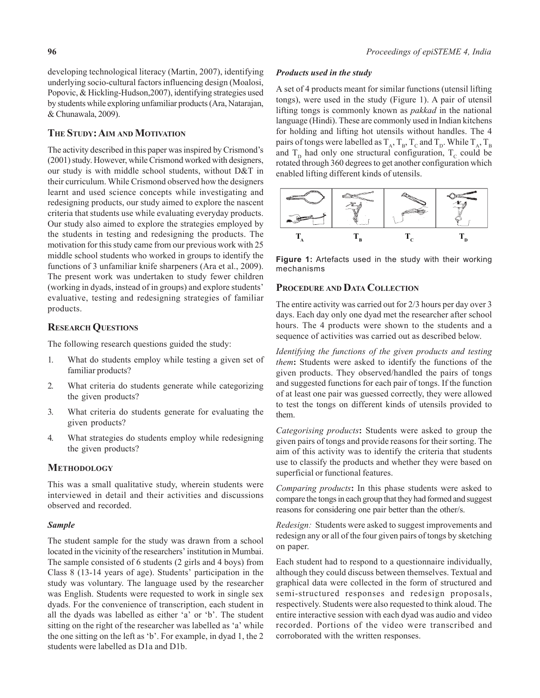developing technological literacy (Martin, 2007), identifying underlying socio-cultural factors influencing design (Moalosi, Popovic, & Hickling-Hudson,2007), identifying strategies used by students while exploring unfamiliar products (Ara, Natarajan, & Chunawala, 2009).

# **THE STUDY: AIM AND MOTIVATION**

The activity described in this paper was inspired by Crismond's (2001) study. However, while Crismond worked with designers, our study is with middle school students, without D&T in their curriculum. While Crismond observed how the designers learnt and used science concepts while investigating and redesigning products, our study aimed to explore the nascent criteria that students use while evaluating everyday products. Our study also aimed to explore the strategies employed by the students in testing and redesigning the products. The motivation for this study came from our previous work with 25 middle school students who worked in groups to identify the functions of 3 unfamiliar knife sharpeners (Ara et al., 2009). The present work was undertaken to study fewer children (working in dyads, instead of in groups) and explore students' evaluative, testing and redesigning strategies of familiar products.

# **RESEARCH QUESTIONS**

The following research questions guided the study:

- 1. What do students employ while testing a given set of familiar products?
- 2. What criteria do students generate while categorizing the given products?
- 3. What criteria do students generate for evaluating the given products?
- 4. What strategies do students employ while redesigning the given products?

#### **METHODOLOGY**

This was a small qualitative study, wherein students were interviewed in detail and their activities and discussions observed and recorded.

#### *Sample*

The student sample for the study was drawn from a school located in the vicinity of the researchers' institution in Mumbai. The sample consisted of 6 students (2 girls and 4 boys) from Class 8 (13-14 years of age). Students' participation in the study was voluntary. The language used by the researcher was English. Students were requested to work in single sex dyads. For the convenience of transcription, each student in all the dyads was labelled as either 'a' or 'b'. The student sitting on the right of the researcher was labelled as 'a' while the one sitting on the left as 'b'. For example, in dyad 1, the 2 students were labelled as D1a and D1b.

#### *Products used in the study*

A set of 4 products meant for similar functions (utensil lifting tongs), were used in the study (Figure 1). A pair of utensil lifting tongs is commonly known as *pakkad* in the national language (Hindi). These are commonly used in Indian kitchens for holding and lifting hot utensils without handles. The 4 pairs of tongs were labelled as  $T_A$ ,  $T_B$ ,  $T_C$  and  $T_D$ . While  $T_A$ ,  $T_B$ and  $T_p$  had only one structural configuration,  $T_c$  could be rotated through 360 degrees to get another configuration which enabled lifting different kinds of utensils.



**Figure 1:** Artefacts used in the study with their working mechanisms

# **PROCEDURE AND DATA COLLECTION**

The entire activity was carried out for 2/3 hours per day over 3 days. Each day only one dyad met the researcher after school hours. The 4 products were shown to the students and a sequence of activities was carried out as described below.

*Identifying the functions of the given products and testing them***:** Students were asked to identify the functions of the given products. They observed/handled the pairs of tongs and suggested functions for each pair of tongs. If the function of at least one pair was guessed correctly, they were allowed to test the tongs on different kinds of utensils provided to them.

*Categorising products***:** Students were asked to group the given pairs of tongs and provide reasons for their sorting. The aim of this activity was to identify the criteria that students use to classify the products and whether they were based on superficial or functional features.

*Comparing products***:** In this phase students were asked to compare the tongs in each group that they had formed and suggest reasons for considering one pair better than the other/s.

*Redesign:* Students were asked to suggest improvements and redesign any or all of the four given pairs of tongs by sketching on paper.

Each student had to respond to a questionnaire individually, although they could discuss between themselves. Textual and graphical data were collected in the form of structured and semi-structured responses and redesign proposals, respectively. Students were also requested to think aloud. The entire interactive session with each dyad was audio and video recorded. Portions of the video were transcribed and corroborated with the written responses.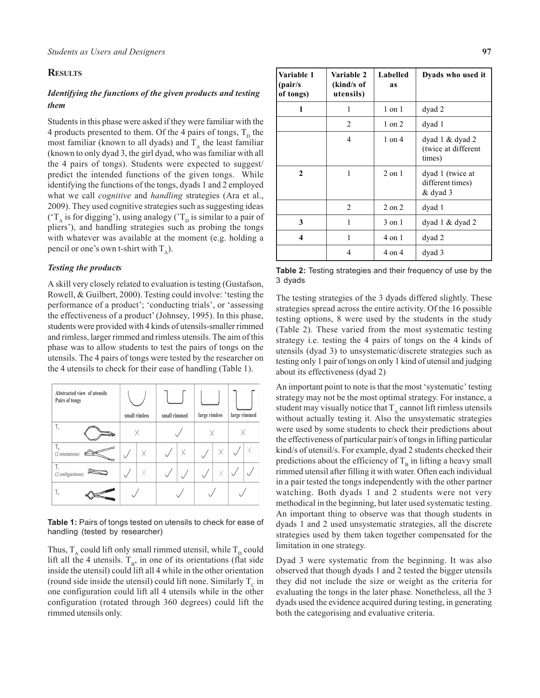# **RESULTS**

# *Identifying the functions of the given products and testing them*

Students in this phase were asked if they were familiar with the 4 products presented to them. Of the 4 pairs of tongs,  $T_p$  the most familiar (known to all dyads) and  $T_A$  the least familiar (known to only dyad 3, the girl dyad, who was familiar with all the 4 pairs of tongs). Students were expected to suggest/ predict the intended functions of the given tongs. While identifying the functions of the tongs, dyads 1 and 2 employed what we call *cognitive* and *handling* strategies (Ara et al., 2009). They used cognitive strategies such as suggesting ideas ( $T_A$  is for digging'), using analogy ( $T_D$  is similar to a pair of pliers'), and handling strategies such as probing the tongs with whatever was available at the moment (e.g. holding a pencil or one's own t-shirt with  $T_{\lambda}$ ).

### *Testing the products*

A skill very closely related to evaluation is testing (Gustafson, Rowell, & Guilbert, 2000). Testing could involve: 'testing the performance of a product'; 'conducting trials', or 'assessing the effectiveness of a product' (Johnsey, 1995). In this phase, students were provided with 4 kinds of utensils-smaller rimmed and rimless, larger rimmed and rimless utensils. The aim of this phase was to allow students to test the pairs of tongs on the utensils. The 4 pairs of tongs were tested by the researcher on the 4 utensils to check for their ease of handling (Table 1).

| Abstracted view of utensils<br>Pairs of tongs | small rimless |   | small rimmed |   | large rimless |  | large rimmed |  |
|-----------------------------------------------|---------------|---|--------------|---|---------------|--|--------------|--|
| $T_{A}$                                       |               |   |              |   |               |  |              |  |
| $T_B$<br>(2 orientations)                     |               | Χ |              | Χ |               |  |              |  |
| $T_c$<br>(2 configurations)                   |               | Χ |              |   |               |  |              |  |
| $T_{\rm p}$                                   |               |   |              |   |               |  |              |  |

**Table 1:** Pairs of tongs tested on utensils to check for ease of handling (tested by researcher)

Thus,  $T_A$  could lift only small rimmed utensil, while  $T_D$  could lift all the 4 utensils.  $T_B$ , in one of its orientations (flat side inside the utensil) could lift all 4 while in the other orientation (round side inside the utensil) could lift none. Similarly  $T_c$  in one configuration could lift all 4 utensils while in the other configuration (rotated through 360 degrees) could lift the rimmed utensils only.

| Variable 1<br>(pair/s<br>of tongs) | Variable 2<br>(kind/s of<br>utensils) | Labelled<br>as | Dyads who used it                                     |
|------------------------------------|---------------------------------------|----------------|-------------------------------------------------------|
| 1                                  | 1                                     | $1$ on $1$     | dyad 2                                                |
|                                    | 2                                     | $1$ on $2$     | dyad 1                                                |
|                                    | 4                                     | $1$ on $4$     | dyad $1 \&$ dyad $2$<br>(twice at different<br>times) |
| $\mathbf{2}$                       | 1                                     | $2$ on $1$     | dyad 1 (twice at<br>different times)<br>& dyad 3      |
|                                    | 2                                     | $2$ on $2$     | dyad 1                                                |
| 3                                  | 1                                     | 3 on 1         | dyad $1 \&$ dyad $2$                                  |
| 4                                  | 1                                     | 4 on 1         | dyad 2                                                |
|                                    | 4                                     | 4 on 4         | dyad 3                                                |

**Table 2:** Testing strategies and their frequency of use by the 3 dyads

The testing strategies of the 3 dyads differed slightly. These strategies spread across the entire activity. Of the 16 possible testing options, 8 were used by the students in the study (Table 2). These varied from the most systematic testing strategy i.e. testing the 4 pairs of tongs on the 4 kinds of utensils (dyad 3) to unsystematic/discrete strategies such as testing only 1 pair of tongs on only 1 kind of utensil and judging about its effectiveness (dyad 2)

An important point to note is that the most 'systematic' testing strategy may not be the most optimal strategy. For instance, a student may visually notice that  $T_A$  cannot lift rimless utensils without actually testing it. Also the unsystematic strategies were used by some students to check their predictions about the effectiveness of particular pair/s of tongs in lifting particular kind/s of utensil/s. For example, dyad 2 students checked their predictions about the efficiency of  $T_B$  in lifting a heavy small rimmed utensil after filling it with water. Often each individual in a pair tested the tongs independently with the other partner watching. Both dyads 1 and 2 students were not very methodical in the beginning, but later used systematic testing. An important thing to observe was that though students in dyads 1 and 2 used unsystematic strategies, all the discrete strategies used by them taken together compensated for the limitation in one strategy.

Dyad 3 were systematic from the beginning. It was also observed that though dyads 1 and 2 tested the bigger utensils they did not include the size or weight as the criteria for evaluating the tongs in the later phase. Nonetheless, all the 3 dyads used the evidence acquired during testing, in generating both the categorising and evaluative criteria.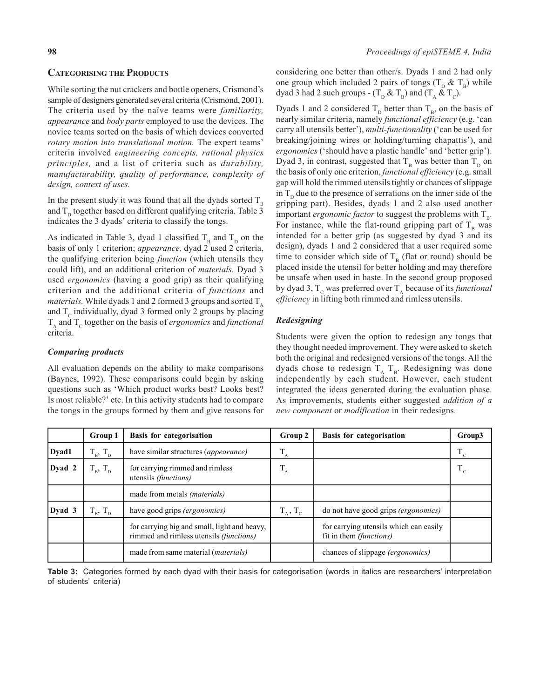# **CATEGORISING THE PRODUCTS**

While sorting the nut crackers and bottle openers, Crismond's sample of designers generated several criteria (Crismond, 2001). The criteria used by the naïve teams were *familiarity, appearance* and *body parts* employed to use the devices. The novice teams sorted on the basis of which devices converted *rotary motion into translational motion.* The expert teams' criteria involved *engineering concepts, rational physics principles,* and a list of criteria such as *durability, manufacturability, quality of performance, complexity of design, context of uses.*

In the present study it was found that all the dyads sorted  $T_{\text{B}}$ and  $T<sub>p</sub>$  together based on different qualifying criteria. Table 3 indicates the 3 dyads' criteria to classify the tongs.

As indicated in Table 3, dyad 1 classified  $T_p$  and  $T_p$  on the basis of only 1 criterion; *appearance,* dyad 2 used 2 criteria, the qualifying criterion being *function* (which utensils they could lift), and an additional criterion of *materials.* Dyad 3 used *ergonomics* (having a good grip) as their qualifying criterion and the additional criteria of *functions* and *materials.* While dyads 1 and 2 formed 3 groups and sorted  $T_A$ and  $T_c$  individually, dyad 3 formed only 2 groups by placing  $T_A$  and  $T_C$  together on the basis of *ergonomics* and *functional* criteria.

# *Comparing products*

All evaluation depends on the ability to make comparisons (Baynes, 1992). These comparisons could begin by asking questions such as 'Which product works best? Looks best? Is most reliable?' etc. In this activity students had to compare the tongs in the groups formed by them and give reasons for considering one better than other/s. Dyads 1 and 2 had only one group which included 2 pairs of tongs  $(T_{\text{D}} \& T_{\text{B}})$  while dyad 3 had 2 such groups -  $(T_{\text{D}} \& T_{\text{B}})$  and  $(T_{\text{A}} \& T_{\text{C}})$ .

Dyads 1 and 2 considered  $T<sub>p</sub>$  better than  $T<sub>p</sub>$ , on the basis of nearly similar criteria, namely *functional efficiency* (e.g. 'can carry all utensils better'), *multi-functionality* ('can be used for breaking/joining wires or holding/turning chapattis'), and *ergonomics* ('should have a plastic handle' and 'better grip'). Dyad 3, in contrast, suggested that  $T_B$  was better than  $T_D$  on the basis of only one criterion, *functional efficiency* (e.g. small gap will hold the rimmed utensils tightly or chances of slippage in  $T<sub>p</sub>$  due to the presence of serrations on the inner side of the gripping part). Besides, dyads 1 and 2 also used another important *ergonomic factor* to suggest the problems with  $T_{\text{B}}$ . For instance, while the flat-round gripping part of  $T_B$  was intended for a better grip (as suggested by dyad 3 and its design), dyads 1 and 2 considered that a user required some time to consider which side of  $T_B$  (flat or round) should be placed inside the utensil for better holding and may therefore be unsafe when used in haste. In the second group proposed by dyad 3,  $T_c$  was preferred over  $T_A$  because of its *functional efficiency* in lifting both rimmed and rimless utensils.

# *Redesigning*

Students were given the option to redesign any tongs that they thought needed improvement. They were asked to sketch both the original and redesigned versions of the tongs. All the dyads chose to redesign  $T_A$   $T_B$ . Redesigning was done independently by each student. However, each student integrated the ideas generated during the evaluation phase. As improvements, students either suggested *addition of a new component* or *modification* in their redesigns.

|        | Group 1       | <b>Basis for categorisation</b>                                                         | Group 2                   | <b>Basis for categorisation</b>                                          | Group3 |
|--------|---------------|-----------------------------------------------------------------------------------------|---------------------------|--------------------------------------------------------------------------|--------|
| Dyad1  | $T_B$ , $T_D$ | have similar structures (appearance)                                                    | $\mathbf{1}_{\mathrm{A}}$ |                                                                          | $T_c$  |
| Dyad 2 | $T_B$ , $T_D$ | for carrying rimmed and rimless<br>utensils (functions)                                 | $T_A$                     |                                                                          | $T_c$  |
|        |               | made from metals ( <i>materials</i> )                                                   |                           |                                                                          |        |
| Dyad 3 | $T_B$ , $T_D$ | have good grips (ergonomics)                                                            | $T_{A}$ , $T_{C}$         | do not have good grips (ergonomics)                                      |        |
|        |               | for carrying big and small, light and heavy,<br>rimmed and rimless utensils (functions) |                           | for carrying utensils which can easily<br>fit in them <i>(functions)</i> |        |
|        |               | made from same material <i>(materials)</i>                                              |                           | chances of slippage <i>(ergonomics)</i>                                  |        |

**Table 3:** Categories formed by each dyad with their basis for categorisation (words in italics are researchers' interpretation of students' criteria)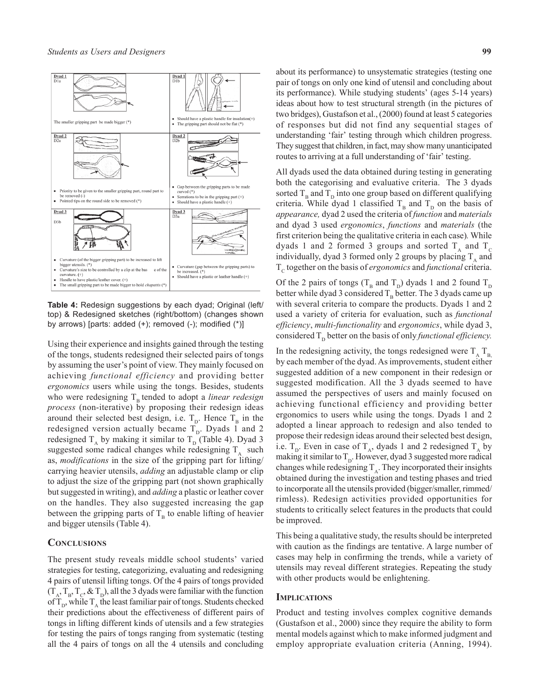

**Table 4:** Redesign suggestions by each dyad; Original (left/ top) & Redesigned sketches (right/bottom) (changes shown by arrows) [parts: added (+); removed (-); modified (\*)]

Using their experience and insights gained through the testing of the tongs, students redesigned their selected pairs of tongs by assuming the user's point of view. They mainly focused on achieving *functional efficiency* and providing better *ergonomics* users while using the tongs. Besides, students who were redesigning  $T<sub>B</sub>$  tended to adopt a *linear redesign process* (non-iterative) by proposing their redesign ideas around their selected best design, i.e.  $T_D$ . Hence  $T_B$  in the redesigned version actually became  $T_{\text{D}}$ . Dyads 1 and 2 redesigned  $T_A$  by making it similar to  $T_D$  (Table 4). Dyad 3 suggested some radical changes while redesigning  $T<sub>A</sub>$  such as, *modifications* in the size of the gripping part for lifting/ carrying heavier utensils, *adding* an adjustable clamp or clip to adjust the size of the gripping part (not shown graphically but suggested in writing), and *adding* a plastic or leather cover on the handles. They also suggested increasing the gap between the gripping parts of  $T_B$  to enable lifting of heavier and bigger utensils (Table 4).

# **CONCLUSIONS**

The present study reveals middle school students' varied strategies for testing, categorizing, evaluating and redesigning 4 pairs of utensil lifting tongs. Of the 4 pairs of tongs provided  $(T_A, T_B, T_C, \& T_D)$ , all the 3 dyads were familiar with the function of  $T_{\text{D}}$ , while  $T_{\text{A}}$ , the least familiar pair of tongs. Students checked their predictions about the effectiveness of different pairs of tongs in lifting different kinds of utensils and a few strategies for testing the pairs of tongs ranging from systematic (testing all the 4 pairs of tongs on all the 4 utensils and concluding

about its performance) to unsystematic strategies (testing one pair of tongs on only one kind of utensil and concluding about its performance). While studying students' (ages 5-14 years) ideas about how to test structural strength (in the pictures of two bridges), Gustafson et al., (2000) found at least 5 categories of responses but did not find any sequential stages of understanding 'fair' testing through which children progress. They suggest that children, in fact, may show many unanticipated routes to arriving at a full understanding of 'fair' testing.

All dyads used the data obtained during testing in generating both the categorising and evaluative criteria. The 3 dyads sorted  $T_B$  and  $T_D$  into one group based on different qualifying criteria. While dyad 1 classified  $T_B$  and  $T_D$  on the basis of *appearance,* dyad 2 used the criteria of *function* and *materials* and dyad 3 used *ergonomics*, *functions* and *materials* (the first criterion being the qualitative criteria in each case)*.* While dyads 1 and 2 formed 3 groups and sorted  $T_A$  and  $T_C$ individually, dyad 3 formed only 2 groups by placing  $T_A$  and T<sub>c</sub> together on the basis of *ergonomics* and *functional* criteria.

Of the 2 pairs of tongs ( $T_B$  and  $T_D$ ) dyads 1 and 2 found  $T_D$ better while dyad 3 considered  $T_B$  better. The 3 dyads came up with several criteria to compare the products. Dyads 1 and 2 used a variety of criteria for evaluation, such as *functional efficiency*, *multi-functionality* and *ergonomics*, while dyad 3, considered  $T_p$  better on the basis of only *functional efficiency*.

In the redesigning activity, the tongs redesigned were  $T_A T_B$ by each member of the dyad. As improvements, student either suggested addition of a new component in their redesign or suggested modification. All the 3 dyads seemed to have assumed the perspectives of users and mainly focused on achieving functional efficiency and providing better ergonomics to users while using the tongs. Dyads 1 and 2 adopted a linear approach to redesign and also tended to propose their redesign ideas around their selected best design, i.e.  $T_p$ . Even in case of  $T_A$ , dyads 1 and 2 redesigned  $T_A$  by making it similar to  $T<sub>D</sub>$ . However, dyad 3 suggested more radical changes while redesigning  $T_A$ . They incorporated their insights obtained during the investigation and testing phases and tried to incorporate all the utensils provided (bigger/smaller, rimmed/ rimless). Redesign activities provided opportunities for students to critically select features in the products that could be improved.

This being a qualitative study, the results should be interpreted with caution as the findings are tentative. A large number of cases may help in confirming the trends, while a variety of utensils may reveal different strategies. Repeating the study with other products would be enlightening.

#### **IMPLICATIONS**

Product and testing involves complex cognitive demands (Gustafson et al., 2000) since they require the ability to form mental models against which to make informed judgment and employ appropriate evaluation criteria (Anning, 1994).